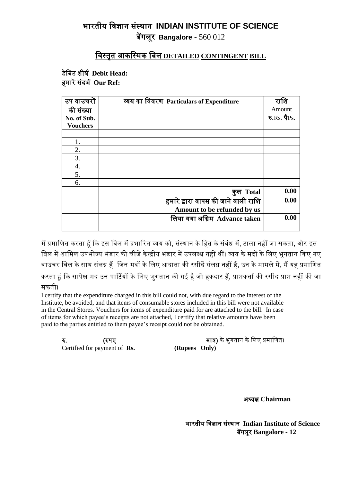## भारतीय विज्ञान संस्थान **INDIAN INSTITUTE OF SCIENCE** बेंगलूर **Bangalore** - 560 012

## विस्तृत आकवस्िक वबल **DETAILED CONTINGENT BILL**

डेवबट शीर्ष **Debit Head:**  हमारे संदर्भ Our Ref:

| उप वाउचरों<br>की संख्या<br>No. of Sub. | व्यय का विवरण Particulars of Expenditure | राशि<br>Amount<br>रु.Rs. पैPs. |
|----------------------------------------|------------------------------------------|--------------------------------|
| <b>Vouchers</b>                        |                                          |                                |
|                                        |                                          |                                |
|                                        |                                          |                                |
| 2.                                     |                                          |                                |
| 3.                                     |                                          |                                |
| 4.                                     |                                          |                                |
| 5.                                     |                                          |                                |
| 6.                                     |                                          |                                |
|                                        | कुल Total                                | 0.00                           |
|                                        | हमारे द्वारा वापस की जाने वाली राशि      | 0.00                           |
|                                        | Amount to be refunded by us              |                                |
|                                        | लिया गया अग्रिम Advance taken            | 0.00                           |
|                                        |                                          |                                |

मैं प्रमाणित करता हँ कि इस बिल में प्रभारित व्यय को, संस्थान के हित के संबंध में, टाला नहीं जा सकता, और इस बिल में शामिल उपभोज्य भंडार की चीजें केन्द्रीय भंडार में उपलब्ध नहीं थीं। व्यय के मदों के लिए भगतान किए गए वाउचर बिल के साथ संलग्न हैं। जिन मदों के लिए आदाता की रसीदें संलग्न नहीं हैं, उन के मामले में, मैं यह प्रमाणित करता हूं कि सापेक्ष मद उन पार्टियों के लिए भुगतान की गई है जो हकदार हैं, प्राप्तकर्ता की रसीद प्राप्त नहीं की जा सकती।

I certify that the expenditure charged in this bill could not, with due regard to the interest of the Institute, be avoided, and that items of consumable stores included in this bill were not available in the Central Stores. Vouchers for items of expenditure paid for are attached to the bill. In case of items for which payee's receipts are not attached, I certify that relative amounts have been paid to the parties entitled to them payee's receipt could not be obtained.

Certified for payment of **Rs. (Rupees Only)** 

रु. (रुपए िात्र) के भुगतान के वलए प्रिावणत।

अध्यक्ष **Chairman**

भारतीय विज्ञान संस्थान **Indian Institute of Science** बेंगलूर **Bangalore - 12**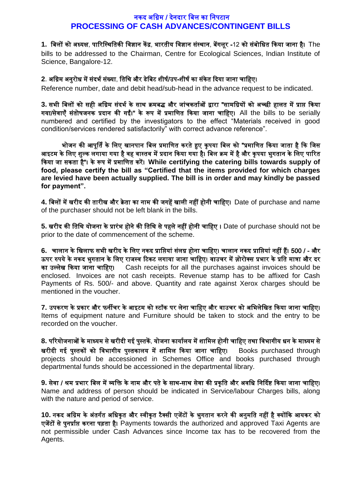## नकद अग्रिम / देनदार बिल का निपटान **PROCESSING OF CASH ADVANCES/CONTINGENT BILLS**

1. बिलों को अध्यक्ष, पारिस्थितिकी विज्ञान केंद्र, भारतीय विज्ञान संस्थान, बेंगलूर -12 को संबोधित किया जाना है। The

bills to be addressed to the Chairman, Centre for Ecological Sciences, Indian Institute of Science, Bangalore-12.

## 2. अग्रिम अनुरोध में संदर्भ संख्या, तिथि और डेबिट शीर्ष/उप-शीर्ष का संकेत दिया जाना चाहिए।

Reference number, date and debit head/sub-head in the advance request to be indicated.

3. सभी बिलों को सही अग्रिम संदर्भ के साथ क्रमबद्ध और जांचकर्ताओं द्वारा "सामग्रियों को अच्छी हालत में प्राप्त किया गया/सेवाएँ संतोषजनक प्रदान की गईं।" के रूप में प्रमाणित किया जाना चाहिए। All the bills to be serially numbered and certified by the investigators to the effect "Materials received in good condition/services rendered satisfactorily" with correct advance reference".

भोजन की आपूर्ति के लिए खानपान बिल प्रमाणित करते हुए कृपया बिल को "प्रमाणित किया जाता है कि जिस आइटम के लिए शुल्क लगाया गया है वह वास्तव में प्रदान किया गया है। बिल क्रम में है और कृपया भुगतान के लिए पारित ककया जा सकता है"। के रूप िें प्रिावणत करें। **While certifying the catering bills towards supply of food, please certify the bill as "Certified that the items provided for which charges are levied have been actually supplied. The bill is in order and may kindly be passed for payment".**

4. बिलों में खरीद की तारीख और क्रेता का नाम की जगहें खाली नहीं होनी चाहिए। Date of purchase and name of the purchaser should not be left blank in the bills.

**5.** खरीद की वतवथ योजना के प्रारंभ होने की वतवथ से पहले नहीं होनी चावहए । Date of purchase should not be prior to the date of commencement of the scheme.

**6.** चालान के वखलाफ सभी खरीद के वलए नकद प्रावप्तयां संलग्न होना चावहए। चालान नकद प्रावप्तयां नहीं हैं। 500 / - और ऊपर रुपये के नकद भुगतान के लिए राजस्व टिकट लगाया जाना चाहिए। वाउचर में ज़ोरोक्स प्रभार के प्रति मात्रा और दर का उल्लेख ककया जाना चावहए। Cash receipts for all the purchases against invoices should be enclosed. Invoices are not cash receipts. Revenue stamp has to be affixed for Cash Payments of Rs. 500/- and above. Quantity and rate against Xerox charges should be mentioned in the voucher.

7. उपकरण के प्रकार और फर्नीचर के आइटम को स्टॉक पर लेना चाहिए और वाउचर को अभिलेखित किया जाना चाहिए। Items of equipment nature and Furniture should be taken to stock and the entry to be recorded on the voucher.

**8.** परियोजनाओं के माध्यम से खरीदी गई पुस्तकें, योजना कार्यालय में शामिल होनी चाहिए तथा विभागीय धन के माध्यम से खरीदी गई पुस्तकों को विभागीय पुस्तकालय में शामिल किया जाना चाहिए। Books purchased through projects should be accessioned in Schemes Office and books purchased through departmental funds should be accessioned in the departmental library.

9. सेवा / श्रम प्रभार बिल में व्यक्ति के नाम और पते के साथ-साथ सेवा की प्रकृति और अवधि निर्दिष्ट किया जाना चाहिए। Name and address of person should be indicated in Service/labour Charges bills, along with the nature and period of service.

10. नकद अग्रिम के अंतर्गत अधिकृत और स्वीकृत टैक्सी एजेंटों के भुगतान करने की अनुमति नहीं है क्योंकि आयकर को एजेंटों से पुनर्प्राप्त करना पड़ता है। Payments towards the authorized and approved Taxi Agents are not permissible under Cash Advances since Income tax has to be recovered from the Agents.